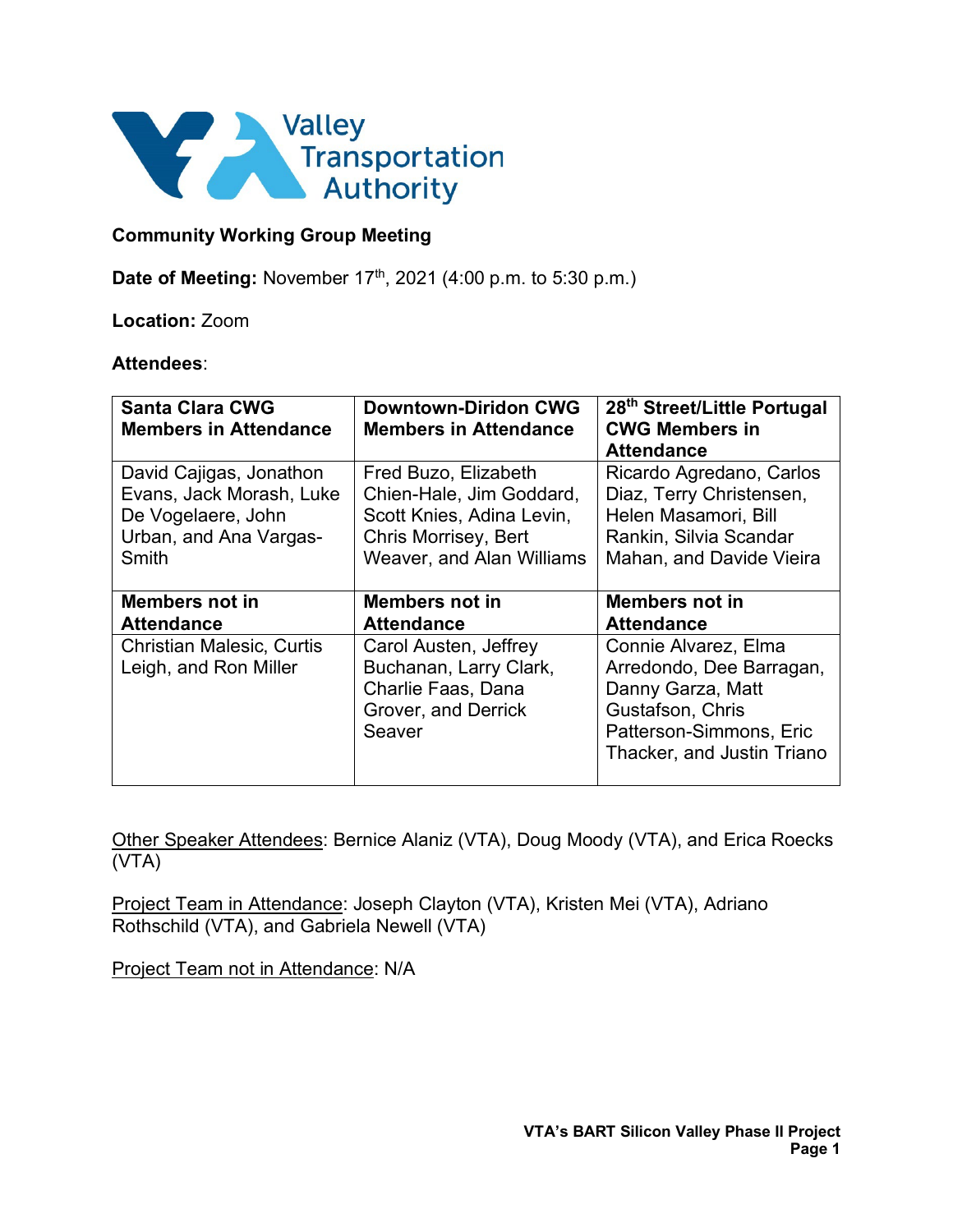

## **Community Working Group Meeting**

**Date of Meeting:** November 17<sup>th</sup>, 2021 (4:00 p.m. to 5:30 p.m.)

### **Location:** Zoom

#### **Attendees**:

| <b>Santa Clara CWG</b><br><b>Members in Attendance</b>    | <b>Downtown-Diridon CWG</b><br><b>Members in Attendance</b>                                            | 28 <sup>th</sup> Street/Little Portugal<br><b>CWG Members in</b><br><b>Attendance</b>                                |
|-----------------------------------------------------------|--------------------------------------------------------------------------------------------------------|----------------------------------------------------------------------------------------------------------------------|
| David Cajigas, Jonathon                                   | Fred Buzo, Elizabeth                                                                                   | Ricardo Agredano, Carlos                                                                                             |
| Evans, Jack Morash, Luke                                  | Chien-Hale, Jim Goddard,                                                                               | Diaz, Terry Christensen,                                                                                             |
| De Vogelaere, John                                        | Scott Knies, Adina Levin,                                                                              | Helen Masamori, Bill                                                                                                 |
| Urban, and Ana Vargas-                                    | Chris Morrisey, Bert                                                                                   | Rankin, Silvia Scandar                                                                                               |
| Smith                                                     | <b>Weaver, and Alan Williams</b>                                                                       | Mahan, and Davide Vieira                                                                                             |
| <b>Members not in</b>                                     | <b>Members not in</b>                                                                                  | <b>Members not in</b>                                                                                                |
| <b>Attendance</b>                                         | <b>Attendance</b>                                                                                      | <b>Attendance</b>                                                                                                    |
| <b>Christian Malesic, Curtis</b><br>Leigh, and Ron Miller | Carol Austen, Jeffrey<br>Buchanan, Larry Clark,<br>Charlie Faas, Dana<br>Grover, and Derrick<br>Seaver | Connie Alvarez, Elma<br>Arredondo, Dee Barragan,<br>Danny Garza, Matt<br>Gustafson, Chris<br>Patterson-Simmons, Eric |

Other Speaker Attendees: Bernice Alaniz (VTA), Doug Moody (VTA), and Erica Roecks (VTA)

Project Team in Attendance: Joseph Clayton (VTA), Kristen Mei (VTA), Adriano Rothschild (VTA), and Gabriela Newell (VTA)

Project Team not in Attendance: N/A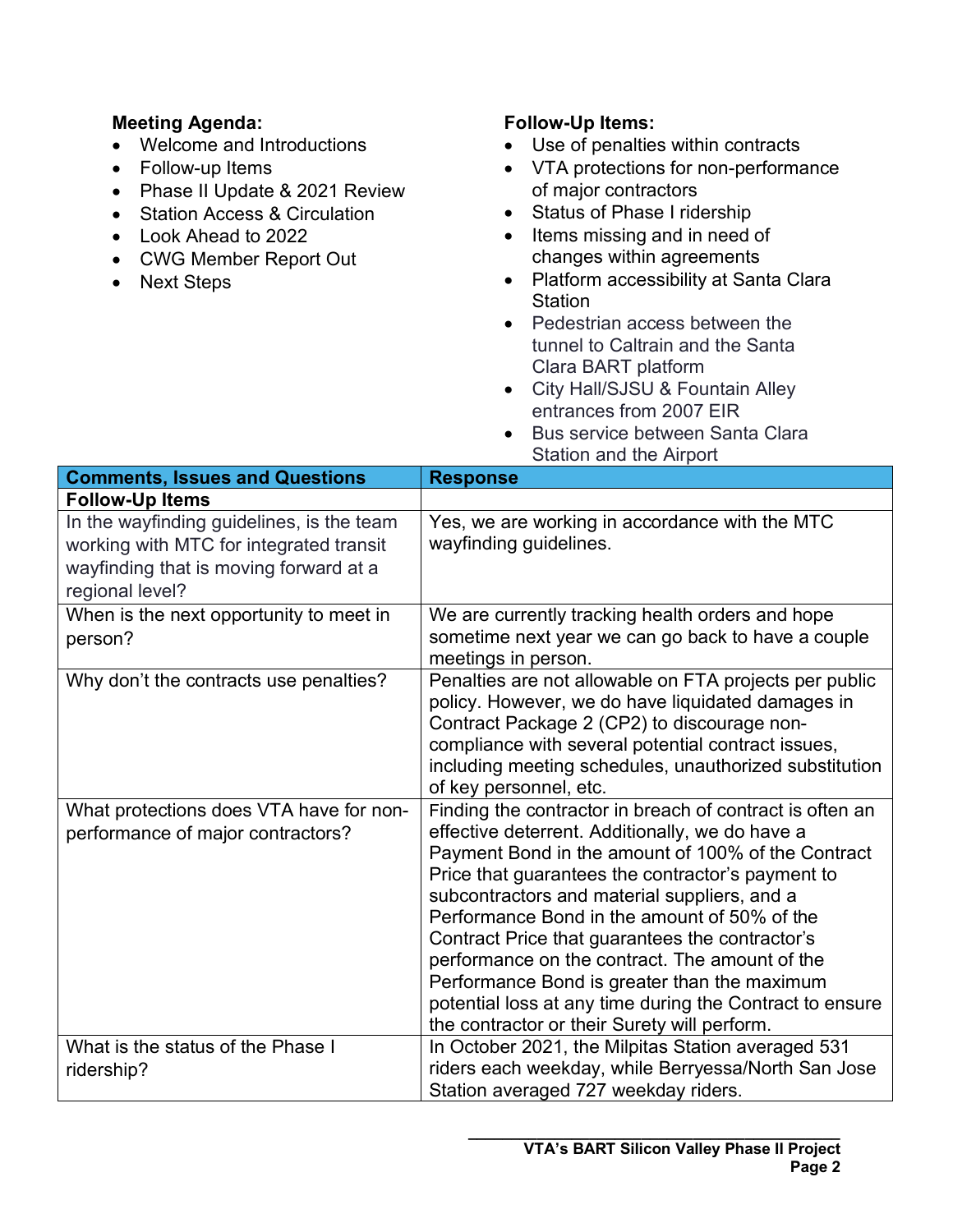# **Meeting Agenda:**

- Welcome and Introductions
- Follow-up Items
- Phase II Update & 2021 Review
- Station Access & Circulation
- Look Ahead to 2022
- CWG Member Report Out
- Next Steps

# **Follow-Up Items:**

- Use of penalties within contracts
- VTA protections for non-performance of major contractors
- Status of Phase I ridership
- Items missing and in need of changes within agreements
- Platform accessibility at Santa Clara Station
- Pedestrian access between the tunnel to Caltrain and the Santa Clara BART platform
- City Hall/SJSU & Fountain Alley entrances from 2007 EIR
- Bus service between Santa Clara Station and the Airport

| <b>Comments, Issues and Questions</b>                                                                                                             | <b>Response</b>                                                                                                                                                                                                                                                                                                                                                                                                                                                                                                                                                                         |
|---------------------------------------------------------------------------------------------------------------------------------------------------|-----------------------------------------------------------------------------------------------------------------------------------------------------------------------------------------------------------------------------------------------------------------------------------------------------------------------------------------------------------------------------------------------------------------------------------------------------------------------------------------------------------------------------------------------------------------------------------------|
| <b>Follow-Up Items</b>                                                                                                                            |                                                                                                                                                                                                                                                                                                                                                                                                                                                                                                                                                                                         |
| In the wayfinding guidelines, is the team<br>working with MTC for integrated transit<br>wayfinding that is moving forward at a<br>regional level? | Yes, we are working in accordance with the MTC<br>wayfinding guidelines.                                                                                                                                                                                                                                                                                                                                                                                                                                                                                                                |
| When is the next opportunity to meet in<br>person?                                                                                                | We are currently tracking health orders and hope<br>sometime next year we can go back to have a couple<br>meetings in person.                                                                                                                                                                                                                                                                                                                                                                                                                                                           |
| Why don't the contracts use penalties?                                                                                                            | Penalties are not allowable on FTA projects per public<br>policy. However, we do have liquidated damages in<br>Contract Package 2 (CP2) to discourage non-<br>compliance with several potential contract issues,<br>including meeting schedules, unauthorized substitution<br>of key personnel, etc.                                                                                                                                                                                                                                                                                    |
| What protections does VTA have for non-<br>performance of major contractors?                                                                      | Finding the contractor in breach of contract is often an<br>effective deterrent. Additionally, we do have a<br>Payment Bond in the amount of 100% of the Contract<br>Price that guarantees the contractor's payment to<br>subcontractors and material suppliers, and a<br>Performance Bond in the amount of 50% of the<br>Contract Price that guarantees the contractor's<br>performance on the contract. The amount of the<br>Performance Bond is greater than the maximum<br>potential loss at any time during the Contract to ensure<br>the contractor or their Surety will perform. |
| What is the status of the Phase I<br>ridership?                                                                                                   | In October 2021, the Milpitas Station averaged 531<br>riders each weekday, while Berryessa/North San Jose<br>Station averaged 727 weekday riders.                                                                                                                                                                                                                                                                                                                                                                                                                                       |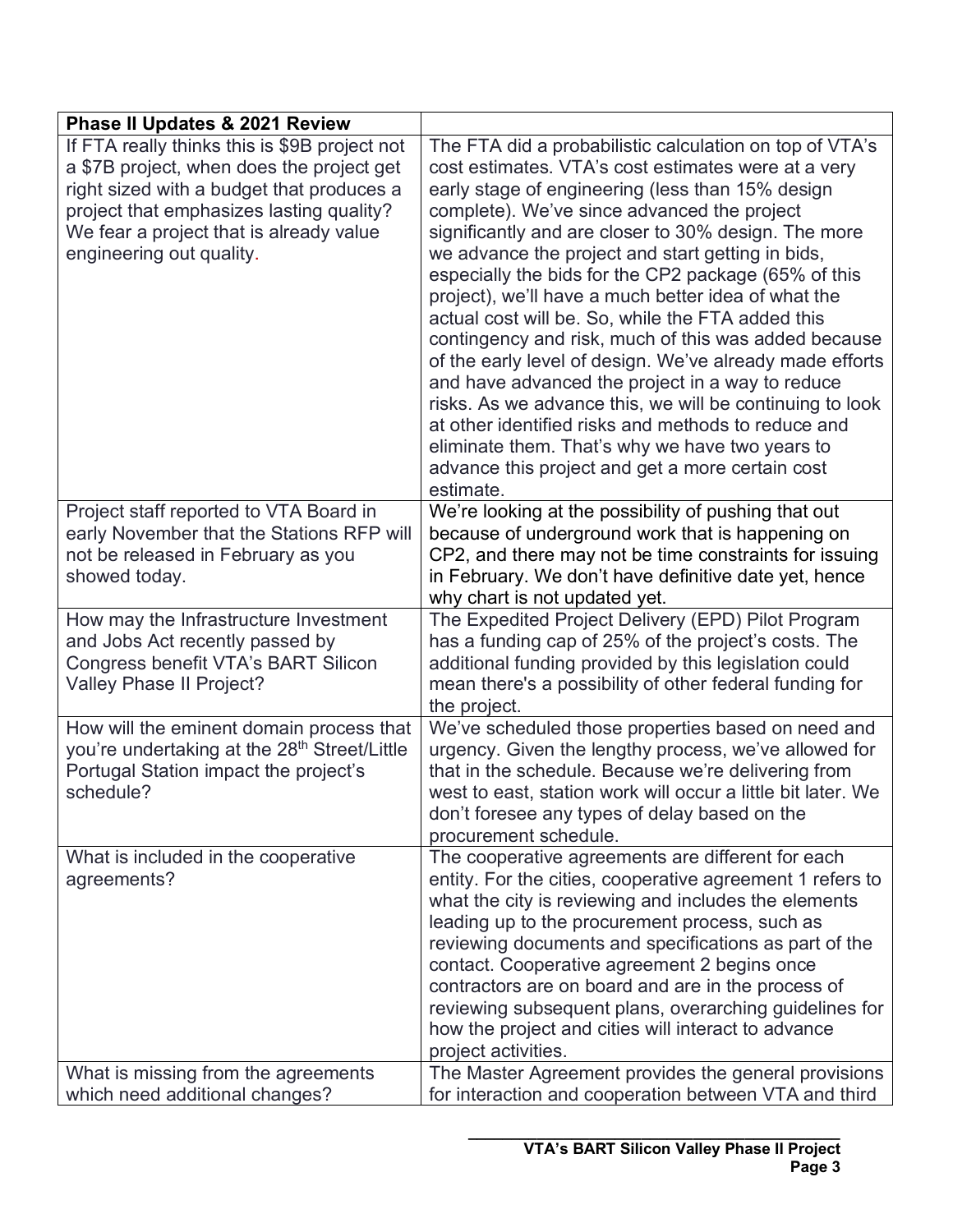| <b>Phase II Updates &amp; 2021 Review</b>                                                                                                                                                                                                                  |                                                                                                                                                                                                                                                                                                                                                                                                                                                                                                                                                                                                                                                                                                                                                                                                                                                                                                                   |
|------------------------------------------------------------------------------------------------------------------------------------------------------------------------------------------------------------------------------------------------------------|-------------------------------------------------------------------------------------------------------------------------------------------------------------------------------------------------------------------------------------------------------------------------------------------------------------------------------------------------------------------------------------------------------------------------------------------------------------------------------------------------------------------------------------------------------------------------------------------------------------------------------------------------------------------------------------------------------------------------------------------------------------------------------------------------------------------------------------------------------------------------------------------------------------------|
| If FTA really thinks this is \$9B project not<br>a \$7B project, when does the project get<br>right sized with a budget that produces a<br>project that emphasizes lasting quality?<br>We fear a project that is already value<br>engineering out quality. | The FTA did a probabilistic calculation on top of VTA's<br>cost estimates. VTA's cost estimates were at a very<br>early stage of engineering (less than 15% design<br>complete). We've since advanced the project<br>significantly and are closer to 30% design. The more<br>we advance the project and start getting in bids,<br>especially the bids for the CP2 package (65% of this<br>project), we'll have a much better idea of what the<br>actual cost will be. So, while the FTA added this<br>contingency and risk, much of this was added because<br>of the early level of design. We've already made efforts<br>and have advanced the project in a way to reduce<br>risks. As we advance this, we will be continuing to look<br>at other identified risks and methods to reduce and<br>eliminate them. That's why we have two years to<br>advance this project and get a more certain cost<br>estimate. |
| Project staff reported to VTA Board in<br>early November that the Stations RFP will<br>not be released in February as you<br>showed today.                                                                                                                 | We're looking at the possibility of pushing that out<br>because of underground work that is happening on<br>CP2, and there may not be time constraints for issuing<br>in February. We don't have definitive date yet, hence<br>why chart is not updated yet.                                                                                                                                                                                                                                                                                                                                                                                                                                                                                                                                                                                                                                                      |
| How may the Infrastructure Investment<br>and Jobs Act recently passed by<br>Congress benefit VTA's BART Silicon<br>Valley Phase II Project?                                                                                                                | The Expedited Project Delivery (EPD) Pilot Program<br>has a funding cap of 25% of the project's costs. The<br>additional funding provided by this legislation could<br>mean there's a possibility of other federal funding for<br>the project.                                                                                                                                                                                                                                                                                                                                                                                                                                                                                                                                                                                                                                                                    |
| How will the eminent domain process that<br>you're undertaking at the 28 <sup>th</sup> Street/Little<br>Portugal Station impact the project's<br>schedule?                                                                                                 | We've scheduled those properties based on need and<br>urgency. Given the lengthy process, we've allowed for<br>that in the schedule. Because we're delivering from<br>west to east, station work will occur a little bit later. We<br>don't foresee any types of delay based on the<br>procurement schedule.                                                                                                                                                                                                                                                                                                                                                                                                                                                                                                                                                                                                      |
| What is included in the cooperative<br>agreements?                                                                                                                                                                                                         | The cooperative agreements are different for each<br>entity. For the cities, cooperative agreement 1 refers to<br>what the city is reviewing and includes the elements<br>leading up to the procurement process, such as<br>reviewing documents and specifications as part of the<br>contact. Cooperative agreement 2 begins once<br>contractors are on board and are in the process of<br>reviewing subsequent plans, overarching guidelines for<br>how the project and cities will interact to advance<br>project activities.                                                                                                                                                                                                                                                                                                                                                                                   |
| What is missing from the agreements<br>which need additional changes?                                                                                                                                                                                      | The Master Agreement provides the general provisions<br>for interaction and cooperation between VTA and third                                                                                                                                                                                                                                                                                                                                                                                                                                                                                                                                                                                                                                                                                                                                                                                                     |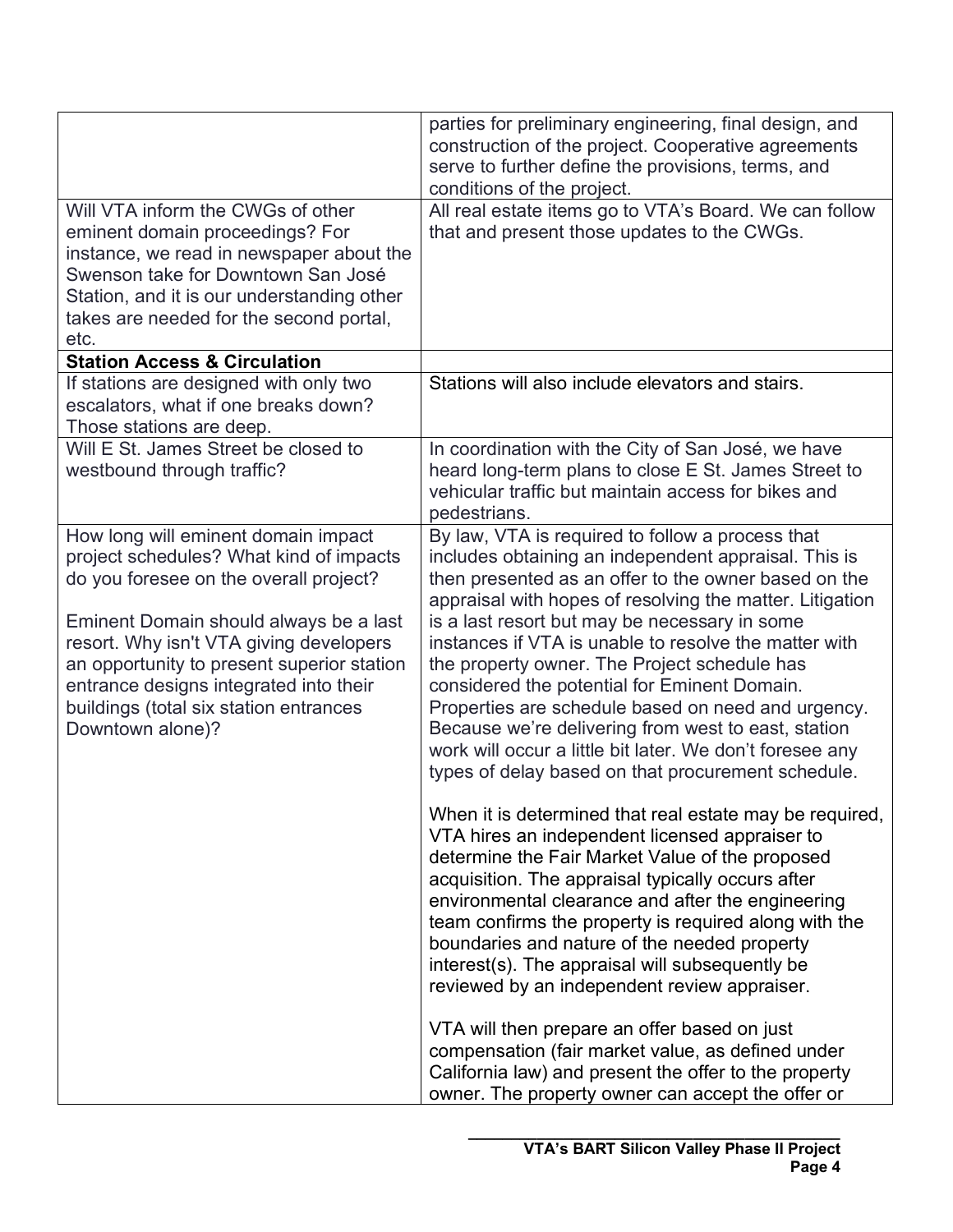|                                                                                                                                                                                                                                                                                                                                                                     | parties for preliminary engineering, final design, and<br>construction of the project. Cooperative agreements<br>serve to further define the provisions, terms, and<br>conditions of the project.                                                                                                                                                                                                                                                                                                                                                                                                                                                                     |
|---------------------------------------------------------------------------------------------------------------------------------------------------------------------------------------------------------------------------------------------------------------------------------------------------------------------------------------------------------------------|-----------------------------------------------------------------------------------------------------------------------------------------------------------------------------------------------------------------------------------------------------------------------------------------------------------------------------------------------------------------------------------------------------------------------------------------------------------------------------------------------------------------------------------------------------------------------------------------------------------------------------------------------------------------------|
| Will VTA inform the CWGs of other<br>eminent domain proceedings? For<br>instance, we read in newspaper about the<br>Swenson take for Downtown San José<br>Station, and it is our understanding other<br>takes are needed for the second portal,<br>etc.                                                                                                             | All real estate items go to VTA's Board. We can follow<br>that and present those updates to the CWGs.                                                                                                                                                                                                                                                                                                                                                                                                                                                                                                                                                                 |
| <b>Station Access &amp; Circulation</b>                                                                                                                                                                                                                                                                                                                             |                                                                                                                                                                                                                                                                                                                                                                                                                                                                                                                                                                                                                                                                       |
| If stations are designed with only two<br>escalators, what if one breaks down?<br>Those stations are deep.                                                                                                                                                                                                                                                          | Stations will also include elevators and stairs.                                                                                                                                                                                                                                                                                                                                                                                                                                                                                                                                                                                                                      |
| Will E St. James Street be closed to<br>westbound through traffic?                                                                                                                                                                                                                                                                                                  | In coordination with the City of San José, we have<br>heard long-term plans to close E St. James Street to<br>vehicular traffic but maintain access for bikes and<br>pedestrians.                                                                                                                                                                                                                                                                                                                                                                                                                                                                                     |
| How long will eminent domain impact<br>project schedules? What kind of impacts<br>do you foresee on the overall project?<br>Eminent Domain should always be a last<br>resort. Why isn't VTA giving developers<br>an opportunity to present superior station<br>entrance designs integrated into their<br>buildings (total six station entrances<br>Downtown alone)? | By law, VTA is required to follow a process that<br>includes obtaining an independent appraisal. This is<br>then presented as an offer to the owner based on the<br>appraisal with hopes of resolving the matter. Litigation<br>is a last resort but may be necessary in some<br>instances if VTA is unable to resolve the matter with<br>the property owner. The Project schedule has<br>considered the potential for Eminent Domain.<br>Properties are schedule based on need and urgency.<br>Because we're delivering from west to east, station<br>work will occur a little bit later. We don't foresee any<br>types of delay based on that procurement schedule. |
|                                                                                                                                                                                                                                                                                                                                                                     | When it is determined that real estate may be required,<br>VTA hires an independent licensed appraiser to<br>determine the Fair Market Value of the proposed<br>acquisition. The appraisal typically occurs after<br>environmental clearance and after the engineering<br>team confirms the property is required along with the<br>boundaries and nature of the needed property<br>interest(s). The appraisal will subsequently be<br>reviewed by an independent review appraiser.<br>VTA will then prepare an offer based on just                                                                                                                                    |
|                                                                                                                                                                                                                                                                                                                                                                     | compensation (fair market value, as defined under<br>California law) and present the offer to the property<br>owner. The property owner can accept the offer or                                                                                                                                                                                                                                                                                                                                                                                                                                                                                                       |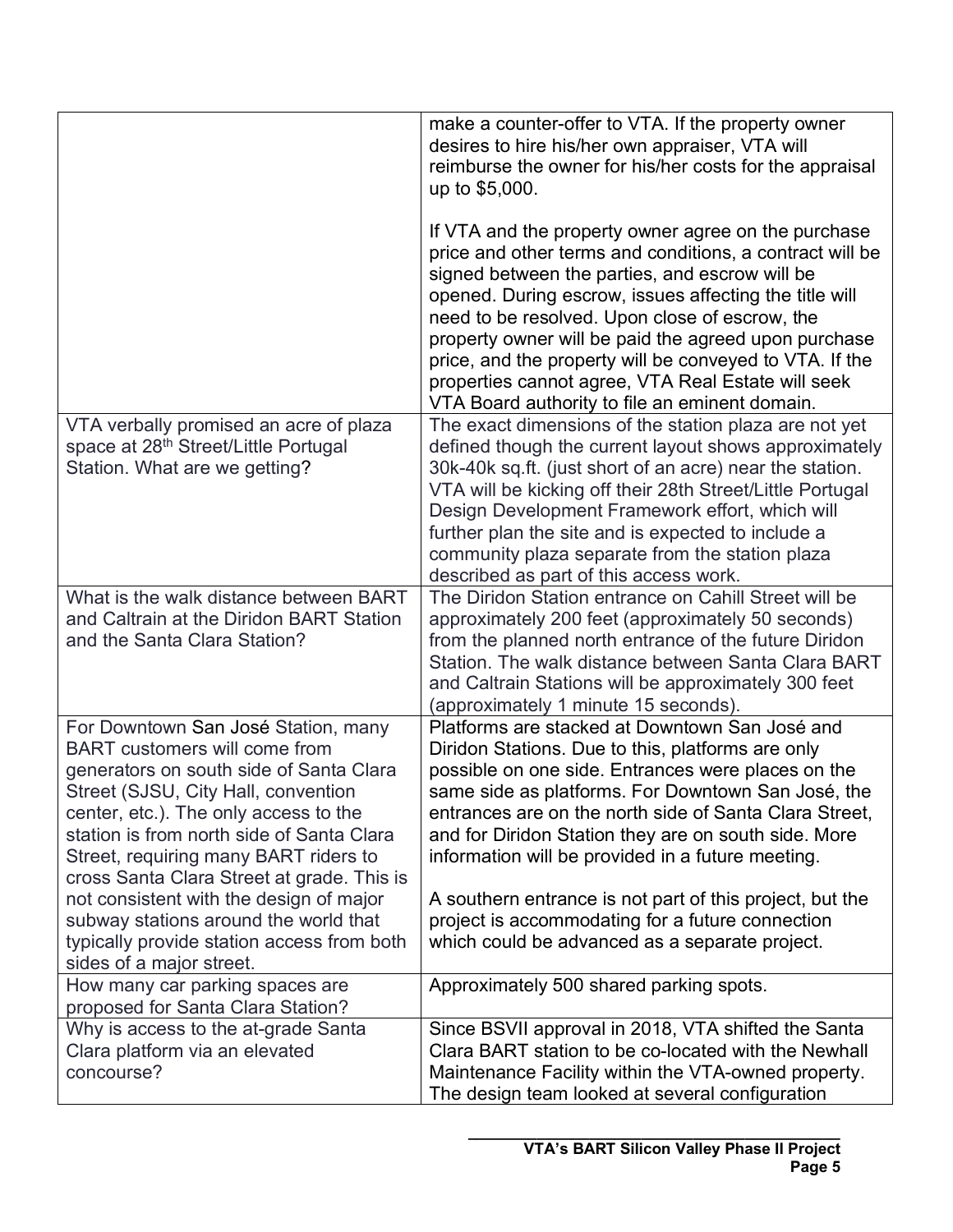|                                                                                    | make a counter-offer to VTA. If the property owner                                                        |
|------------------------------------------------------------------------------------|-----------------------------------------------------------------------------------------------------------|
|                                                                                    | desires to hire his/her own appraiser, VTA will                                                           |
|                                                                                    | reimburse the owner for his/her costs for the appraisal                                                   |
|                                                                                    | up to \$5,000.                                                                                            |
|                                                                                    | If VTA and the property owner agree on the purchase                                                       |
|                                                                                    | price and other terms and conditions, a contract will be                                                  |
|                                                                                    | signed between the parties, and escrow will be                                                            |
|                                                                                    | opened. During escrow, issues affecting the title will                                                    |
|                                                                                    | need to be resolved. Upon close of escrow, the                                                            |
|                                                                                    | property owner will be paid the agreed upon purchase                                                      |
|                                                                                    | price, and the property will be conveyed to VTA. If the                                                   |
|                                                                                    | properties cannot agree, VTA Real Estate will seek                                                        |
|                                                                                    | VTA Board authority to file an eminent domain.                                                            |
| VTA verbally promised an acre of plaza                                             | The exact dimensions of the station plaza are not yet                                                     |
| space at 28 <sup>th</sup> Street/Little Portugal                                   | defined though the current layout shows approximately                                                     |
| Station. What are we getting?                                                      | 30k-40k sq.ft. (just short of an acre) near the station.                                                  |
|                                                                                    | VTA will be kicking off their 28th Street/Little Portugal                                                 |
|                                                                                    | Design Development Framework effort, which will                                                           |
|                                                                                    | further plan the site and is expected to include a                                                        |
|                                                                                    | community plaza separate from the station plaza                                                           |
|                                                                                    | described as part of this access work.                                                                    |
| What is the walk distance between BART                                             | The Diridon Station entrance on Cahill Street will be                                                     |
| and Caltrain at the Diridon BART Station                                           | approximately 200 feet (approximately 50 seconds)                                                         |
| and the Santa Clara Station?                                                       | from the planned north entrance of the future Diridon                                                     |
|                                                                                    | Station. The walk distance between Santa Clara BART                                                       |
|                                                                                    | and Caltrain Stations will be approximately 300 feet                                                      |
|                                                                                    | (approximately 1 minute 15 seconds).                                                                      |
| For Downtown San José Station, many                                                | Platforms are stacked at Downtown San José and                                                            |
| <b>BART</b> customers will come from                                               | Diridon Stations. Due to this, platforms are only                                                         |
| generators on south side of Santa Clara                                            | possible on one side. Entrances were places on the                                                        |
| Street (SJSU, City Hall, convention                                                | same side as platforms. For Downtown San José, the                                                        |
| center, etc.). The only access to the<br>station is from north side of Santa Clara | entrances are on the north side of Santa Clara Street,                                                    |
| Street, requiring many BART riders to                                              | and for Diridon Station they are on south side. More<br>information will be provided in a future meeting. |
| cross Santa Clara Street at grade. This is                                         |                                                                                                           |
| not consistent with the design of major                                            | A southern entrance is not part of this project, but the                                                  |
| subway stations around the world that                                              | project is accommodating for a future connection                                                          |
| typically provide station access from both                                         | which could be advanced as a separate project.                                                            |
| sides of a major street.                                                           |                                                                                                           |
| How many car parking spaces are                                                    | Approximately 500 shared parking spots.                                                                   |
| proposed for Santa Clara Station?                                                  |                                                                                                           |
| Why is access to the at-grade Santa                                                | Since BSVII approval in 2018, VTA shifted the Santa                                                       |
| Clara platform via an elevated                                                     | Clara BART station to be co-located with the Newhall                                                      |
| concourse?                                                                         | Maintenance Facility within the VTA-owned property.                                                       |
|                                                                                    | The design team looked at several configuration                                                           |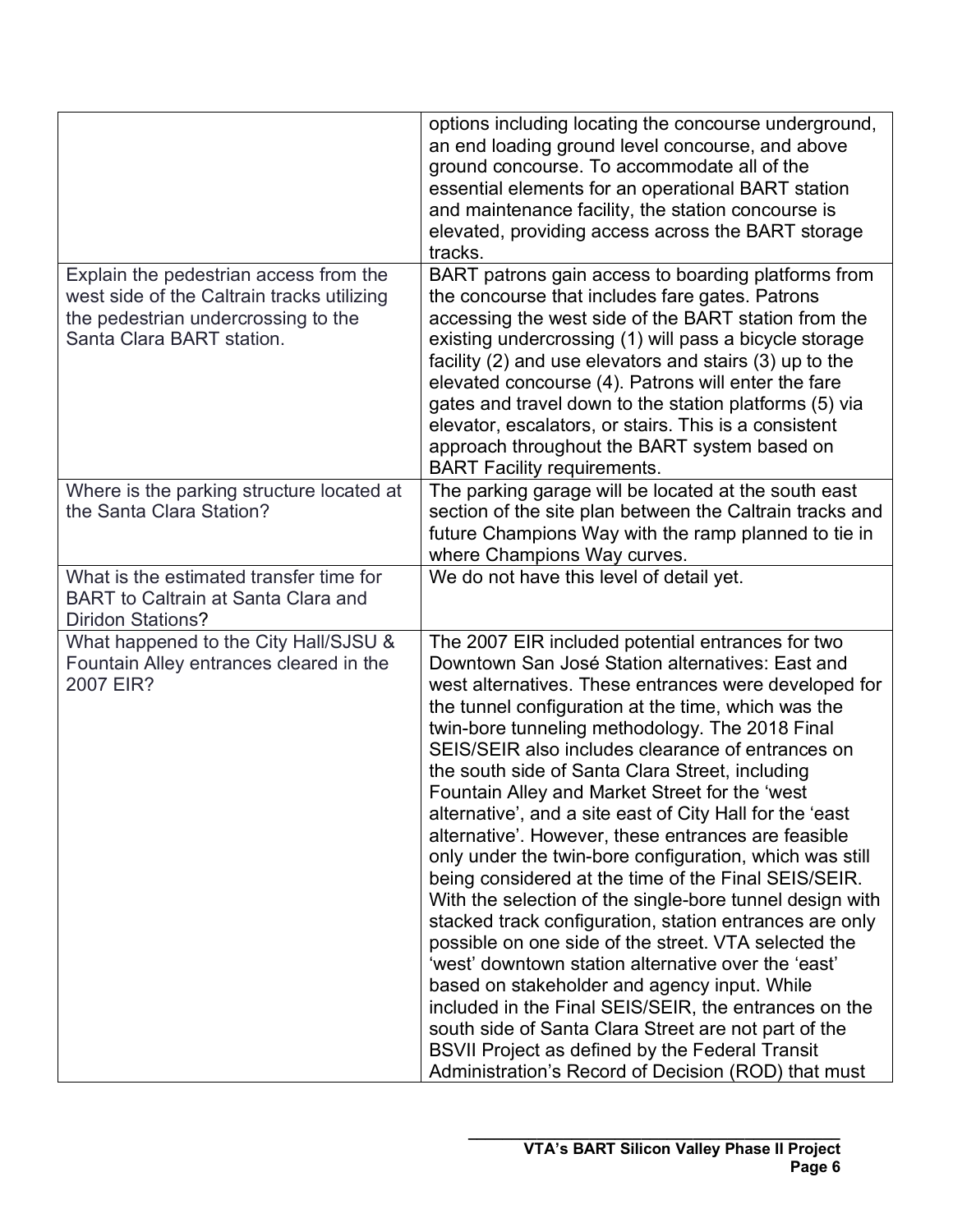|                                                                                                                                                          | options including locating the concourse underground,<br>an end loading ground level concourse, and above<br>ground concourse. To accommodate all of the<br>essential elements for an operational BART station<br>and maintenance facility, the station concourse is<br>elevated, providing access across the BART storage<br>tracks.                                                                                                                                                                                                                                                                                                                                                                                                                                                                                                                                                                                                                                                                                                                                                                                                                                                            |
|----------------------------------------------------------------------------------------------------------------------------------------------------------|--------------------------------------------------------------------------------------------------------------------------------------------------------------------------------------------------------------------------------------------------------------------------------------------------------------------------------------------------------------------------------------------------------------------------------------------------------------------------------------------------------------------------------------------------------------------------------------------------------------------------------------------------------------------------------------------------------------------------------------------------------------------------------------------------------------------------------------------------------------------------------------------------------------------------------------------------------------------------------------------------------------------------------------------------------------------------------------------------------------------------------------------------------------------------------------------------|
| Explain the pedestrian access from the<br>west side of the Caltrain tracks utilizing<br>the pedestrian undercrossing to the<br>Santa Clara BART station. | BART patrons gain access to boarding platforms from<br>the concourse that includes fare gates. Patrons<br>accessing the west side of the BART station from the<br>existing undercrossing (1) will pass a bicycle storage<br>facility (2) and use elevators and stairs (3) up to the<br>elevated concourse (4). Patrons will enter the fare<br>gates and travel down to the station platforms (5) via<br>elevator, escalators, or stairs. This is a consistent<br>approach throughout the BART system based on<br><b>BART Facility requirements.</b>                                                                                                                                                                                                                                                                                                                                                                                                                                                                                                                                                                                                                                              |
| Where is the parking structure located at<br>the Santa Clara Station?                                                                                    | The parking garage will be located at the south east<br>section of the site plan between the Caltrain tracks and<br>future Champions Way with the ramp planned to tie in<br>where Champions Way curves.                                                                                                                                                                                                                                                                                                                                                                                                                                                                                                                                                                                                                                                                                                                                                                                                                                                                                                                                                                                          |
| What is the estimated transfer time for<br><b>BART</b> to Caltrain at Santa Clara and<br><b>Diridon Stations?</b>                                        | We do not have this level of detail yet.                                                                                                                                                                                                                                                                                                                                                                                                                                                                                                                                                                                                                                                                                                                                                                                                                                                                                                                                                                                                                                                                                                                                                         |
| What happened to the City Hall/SJSU &<br>Fountain Alley entrances cleared in the<br>2007 EIR?                                                            | The 2007 EIR included potential entrances for two<br>Downtown San José Station alternatives: East and<br>west alternatives. These entrances were developed for<br>the tunnel configuration at the time, which was the<br>twin-bore tunneling methodology. The 2018 Final<br>SEIS/SEIR also includes clearance of entrances on<br>the south side of Santa Clara Street, including<br>Fountain Alley and Market Street for the 'west<br>alternative', and a site east of City Hall for the 'east<br>alternative'. However, these entrances are feasible<br>only under the twin-bore configuration, which was still<br>being considered at the time of the Final SEIS/SEIR.<br>With the selection of the single-bore tunnel design with<br>stacked track configuration, station entrances are only<br>possible on one side of the street. VTA selected the<br>'west' downtown station alternative over the 'east'<br>based on stakeholder and agency input. While<br>included in the Final SEIS/SEIR, the entrances on the<br>south side of Santa Clara Street are not part of the<br><b>BSVII Project as defined by the Federal Transit</b><br>Administration's Record of Decision (ROD) that must |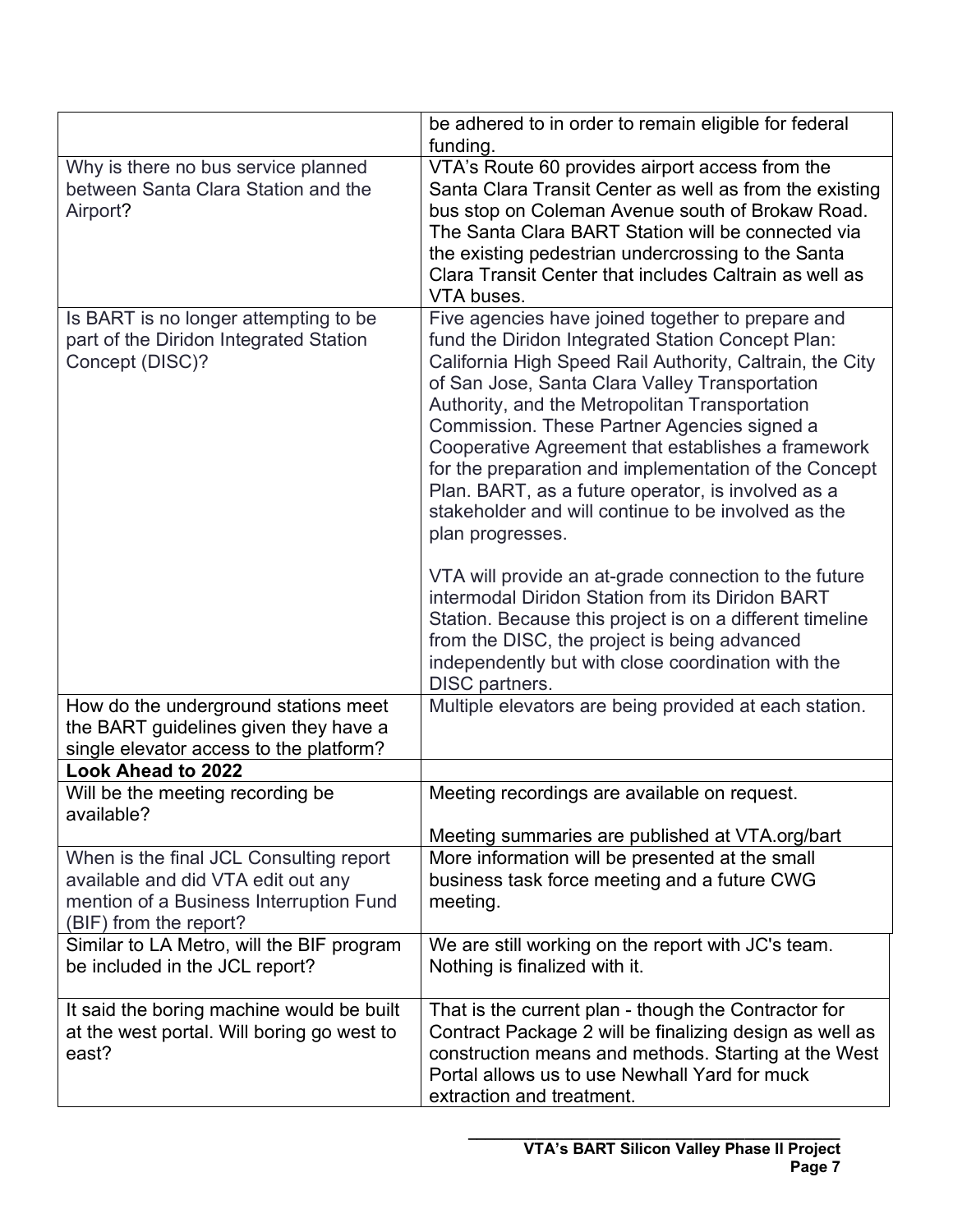|                                                                                                                                                    | be adhered to in order to remain eligible for federal<br>funding.                                                                                                                                                                                                                                                                                                                                                                                                                                                                                                                                                                                                                                                                                                                                                                                                      |
|----------------------------------------------------------------------------------------------------------------------------------------------------|------------------------------------------------------------------------------------------------------------------------------------------------------------------------------------------------------------------------------------------------------------------------------------------------------------------------------------------------------------------------------------------------------------------------------------------------------------------------------------------------------------------------------------------------------------------------------------------------------------------------------------------------------------------------------------------------------------------------------------------------------------------------------------------------------------------------------------------------------------------------|
| Why is there no bus service planned<br>between Santa Clara Station and the<br>Airport?                                                             | VTA's Route 60 provides airport access from the<br>Santa Clara Transit Center as well as from the existing<br>bus stop on Coleman Avenue south of Brokaw Road.<br>The Santa Clara BART Station will be connected via<br>the existing pedestrian undercrossing to the Santa<br>Clara Transit Center that includes Caltrain as well as<br>VTA buses.                                                                                                                                                                                                                                                                                                                                                                                                                                                                                                                     |
| Is BART is no longer attempting to be<br>part of the Diridon Integrated Station<br>Concept (DISC)?                                                 | Five agencies have joined together to prepare and<br>fund the Diridon Integrated Station Concept Plan:<br>California High Speed Rail Authority, Caltrain, the City<br>of San Jose, Santa Clara Valley Transportation<br>Authority, and the Metropolitan Transportation<br>Commission. These Partner Agencies signed a<br>Cooperative Agreement that establishes a framework<br>for the preparation and implementation of the Concept<br>Plan. BART, as a future operator, is involved as a<br>stakeholder and will continue to be involved as the<br>plan progresses.<br>VTA will provide an at-grade connection to the future<br>intermodal Diridon Station from its Diridon BART<br>Station. Because this project is on a different timeline<br>from the DISC, the project is being advanced<br>independently but with close coordination with the<br>DISC partners. |
| How do the underground stations meet<br>the BART guidelines given they have a<br>single elevator access to the platform?                           | Multiple elevators are being provided at each station.                                                                                                                                                                                                                                                                                                                                                                                                                                                                                                                                                                                                                                                                                                                                                                                                                 |
| Look Ahead to 2022                                                                                                                                 |                                                                                                                                                                                                                                                                                                                                                                                                                                                                                                                                                                                                                                                                                                                                                                                                                                                                        |
| Will be the meeting recording be<br>available?                                                                                                     | Meeting recordings are available on request.                                                                                                                                                                                                                                                                                                                                                                                                                                                                                                                                                                                                                                                                                                                                                                                                                           |
|                                                                                                                                                    | Meeting summaries are published at VTA.org/bart                                                                                                                                                                                                                                                                                                                                                                                                                                                                                                                                                                                                                                                                                                                                                                                                                        |
| When is the final JCL Consulting report<br>available and did VTA edit out any<br>mention of a Business Interruption Fund<br>(BIF) from the report? | More information will be presented at the small<br>business task force meeting and a future CWG<br>meeting.                                                                                                                                                                                                                                                                                                                                                                                                                                                                                                                                                                                                                                                                                                                                                            |
| Similar to LA Metro, will the BIF program<br>be included in the JCL report?                                                                        | We are still working on the report with JC's team.<br>Nothing is finalized with it.                                                                                                                                                                                                                                                                                                                                                                                                                                                                                                                                                                                                                                                                                                                                                                                    |
| It said the boring machine would be built<br>at the west portal. Will boring go west to<br>east?                                                   | That is the current plan - though the Contractor for<br>Contract Package 2 will be finalizing design as well as<br>construction means and methods. Starting at the West<br>Portal allows us to use Newhall Yard for muck<br>extraction and treatment.                                                                                                                                                                                                                                                                                                                                                                                                                                                                                                                                                                                                                  |